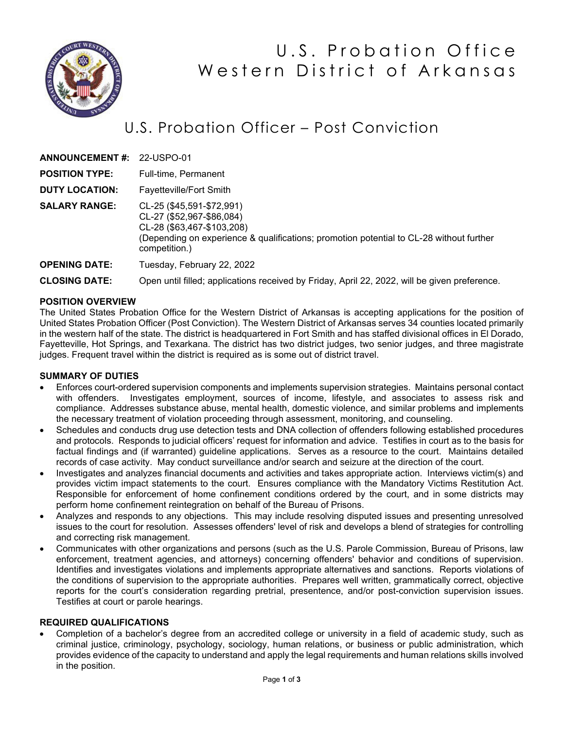

# U.S. Probation Office Western District of Arkansas

# U.S. Probation Officer – Post Conviction

| <b>ANNOUNCEMENT #: 22-USPO-01</b> |                                                                                                                                                                                                  |
|-----------------------------------|--------------------------------------------------------------------------------------------------------------------------------------------------------------------------------------------------|
| <b>POSITION TYPE:</b>             | Full-time, Permanent                                                                                                                                                                             |
| <b>DUTY LOCATION:</b>             | <b>Fayetteville/Fort Smith</b>                                                                                                                                                                   |
| <b>SALARY RANGE:</b>              | CL-25 (\$45,591-\$72,991)<br>CL-27 (\$52,967-\$86,084)<br>CL-28 (\$63,467-\$103,208)<br>(Depending on experience & qualifications; promotion potential to CL-28 without further<br>competition.) |
| <b>OPENING DATE:</b>              | Tuesday, February 22, 2022                                                                                                                                                                       |

**CLOSING DATE:** Open until filled; applications received by Friday, April 22, 2022, will be given preference.

### **POSITION OVERVIEW**

The United States Probation Office for the Western District of Arkansas is accepting applications for the position of United States Probation Officer (Post Conviction). The Western District of Arkansas serves 34 counties located primarily in the western half of the state. The district is headquartered in Fort Smith and has staffed divisional offices in El Dorado, Fayetteville, Hot Springs, and Texarkana. The district has two district judges, two senior judges, and three magistrate judges. Frequent travel within the district is required as is some out of district travel.

#### **SUMMARY OF DUTIES**

- Enforces court-ordered supervision components and implements supervision strategies. Maintains personal contact with offenders. Investigates employment, sources of income, lifestyle, and associates to assess risk and compliance. Addresses substance abuse, mental health, domestic violence, and similar problems and implements the necessary treatment of violation proceeding through assessment, monitoring, and counseling.
- Schedules and conducts drug use detection tests and DNA collection of offenders following established procedures and protocols. Responds to judicial officers' request for information and advice. Testifies in court as to the basis for factual findings and (if warranted) guideline applications. Serves as a resource to the court. Maintains detailed records of case activity. May conduct surveillance and/or search and seizure at the direction of the court.
- Investigates and analyzes financial documents and activities and takes appropriate action. Interviews victim(s) and provides victim impact statements to the court. Ensures compliance with the Mandatory Victims Restitution Act. Responsible for enforcement of home confinement conditions ordered by the court, and in some districts may perform home confinement reintegration on behalf of the Bureau of Prisons.
- Analyzes and responds to any objections. This may include resolving disputed issues and presenting unresolved issues to the court for resolution. Assesses offenders' level of risk and develops a blend of strategies for controlling and correcting risk management.
- Communicates with other organizations and persons (such as the U.S. Parole Commission, Bureau of Prisons, law enforcement, treatment agencies, and attorneys) concerning offenders' behavior and conditions of supervision. Identifies and investigates violations and implements appropriate alternatives and sanctions. Reports violations of the conditions of supervision to the appropriate authorities. Prepares well written, grammatically correct, objective reports for the court's consideration regarding pretrial, presentence, and/or post-conviction supervision issues. Testifies at court or parole hearings.

#### **REQUIRED QUALIFICATIONS**

• Completion of a bachelor's degree from an accredited college or university in a field of academic study, such as criminal justice, criminology, psychology, sociology, human relations, or business or public administration, which provides evidence of the capacity to understand and apply the legal requirements and human relations skills involved in the position.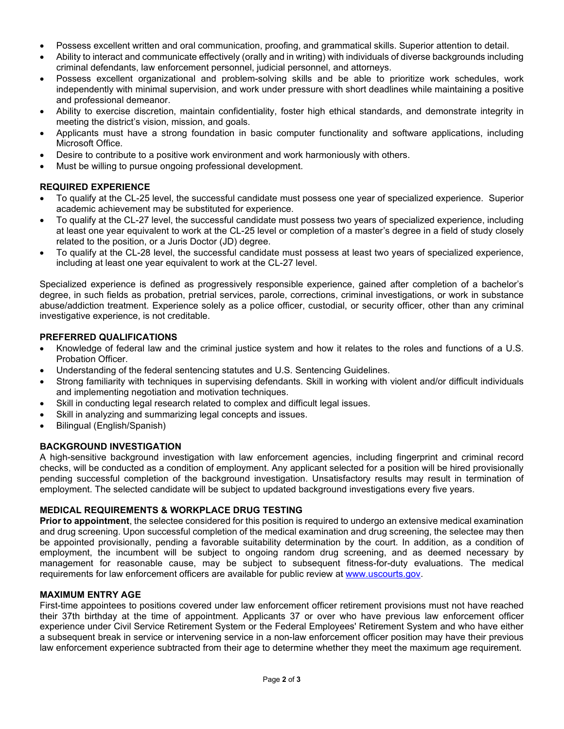- Possess excellent written and oral communication, proofing, and grammatical skills. Superior attention to detail.
- Ability to interact and communicate effectively (orally and in writing) with individuals of diverse backgrounds including criminal defendants, law enforcement personnel, judicial personnel, and attorneys.
- Possess excellent organizational and problem-solving skills and be able to prioritize work schedules, work independently with minimal supervision, and work under pressure with short deadlines while maintaining a positive and professional demeanor.
- Ability to exercise discretion, maintain confidentiality, foster high ethical standards, and demonstrate integrity in meeting the district's vision, mission, and goals.
- Applicants must have a strong foundation in basic computer functionality and software applications, including Microsoft Office.
- Desire to contribute to a positive work environment and work harmoniously with others.
- Must be willing to pursue ongoing professional development.

# **REQUIRED EXPERIENCE**

- To qualify at the CL-25 level, the successful candidate must possess one year of specialized experience. Superior academic achievement may be substituted for experience.
- To qualify at the CL-27 level, the successful candidate must possess two years of specialized experience, including at least one year equivalent to work at the CL-25 level or completion of a master's degree in a field of study closely related to the position, or a Juris Doctor (JD) degree.
- To qualify at the CL-28 level, the successful candidate must possess at least two years of specialized experience, including at least one year equivalent to work at the CL-27 level.

Specialized experience is defined as progressively responsible experience, gained after completion of a bachelor's degree, in such fields as probation, pretrial services, parole, corrections, criminal investigations, or work in substance abuse/addiction treatment. Experience solely as a police officer, custodial, or security officer, other than any criminal investigative experience, is not creditable.

# **PREFERRED QUALIFICATIONS**

- Knowledge of federal law and the criminal justice system and how it relates to the roles and functions of a U.S. Probation Officer.
- Understanding of the federal sentencing statutes and U.S. Sentencing Guidelines.
- Strong familiarity with techniques in supervising defendants. Skill in working with violent and/or difficult individuals and implementing negotiation and motivation techniques.
- Skill in conducting legal research related to complex and difficult legal issues.
- Skill in analyzing and summarizing legal concepts and issues.
- Bilingual (English/Spanish)

# **BACKGROUND INVESTIGATION**

A high-sensitive background investigation with law enforcement agencies, including fingerprint and criminal record checks, will be conducted as a condition of employment. Any applicant selected for a position will be hired provisionally pending successful completion of the background investigation. Unsatisfactory results may result in termination of employment. The selected candidate will be subject to updated background investigations every five years.

# **MEDICAL REQUIREMENTS & WORKPLACE DRUG TESTING**

**Prior to appointment**, the selectee considered for this position is required to undergo an extensive medical examination and drug screening. Upon successful completion of the medical examination and drug screening, the selectee may then be appointed provisionally, pending a favorable suitability determination by the court. In addition, as a condition of employment, the incumbent will be subject to ongoing random drug screening, and as deemed necessary by management for reasonable cause, may be subject to subsequent fitness-for-duty evaluations. The medical requirements for law enforcement officers are available for public review at [www.uscourts.gov.](http://www.uscourts.gov/)

# **MAXIMUM ENTRY AGE**

First-time appointees to positions covered under law enforcement officer retirement provisions must not have reached their 37th birthday at the time of appointment. Applicants 37 or over who have previous law enforcement officer experience under Civil Service Retirement System or the Federal Employees' Retirement System and who have either a subsequent break in service or intervening service in a non-law enforcement officer position may have their previous law enforcement experience subtracted from their age to determine whether they meet the maximum age requirement.